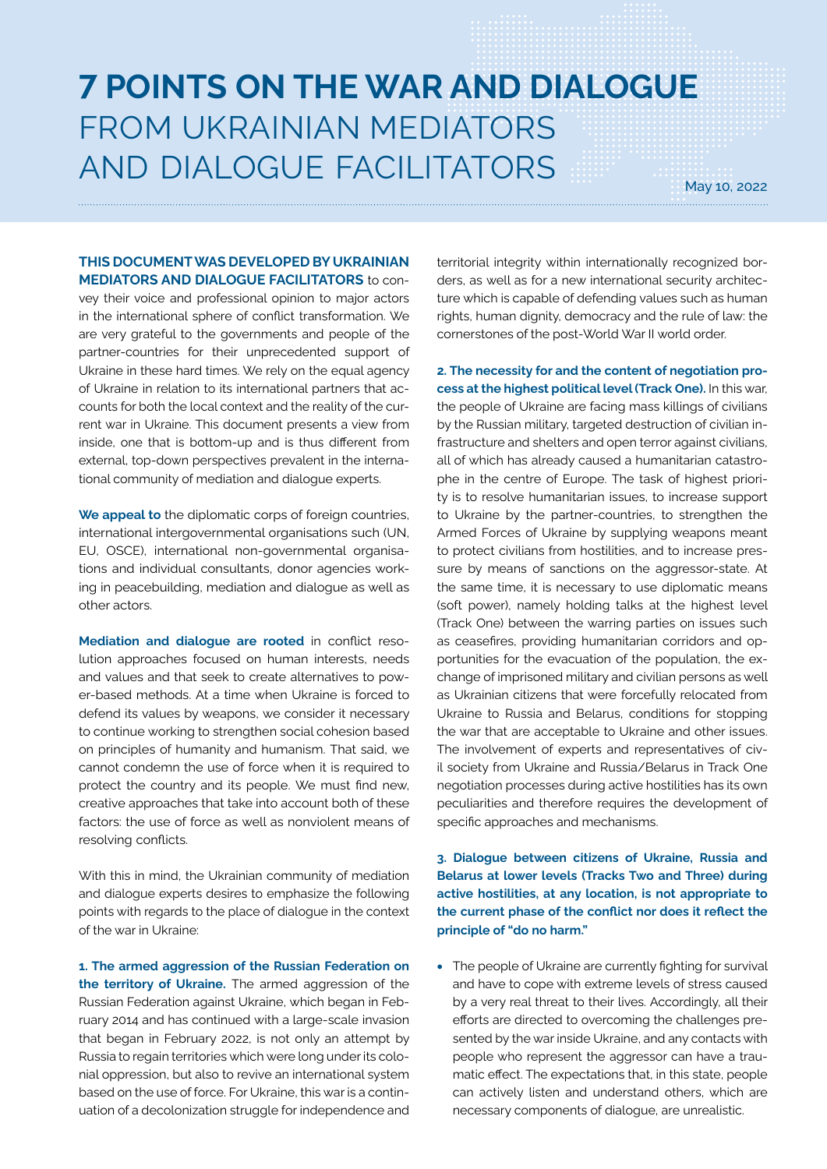# **7 POINTS ON THE WAR AND DIALOGUE** FROM UKRAINIAN MEDIATORS AND DIALOGUE FACILITATORS

May 10, 2022

. . . . . . . . . . . . . . . . . . .

### **THIS DOCUMENT WAS DEVELOPED BY UKRAINIAN MEDIATORS AND DIALOGUE FACILITATORS** to con-

vey their voice and professional opinion to major actors in the international sphere of conflict transformation. We are very grateful to the governments and people of the partner-countries for their unprecedented support of Ukraine in these hard times. We rely on the equal agency of Ukraine in relation to its international partners that accounts for both the local context and the reality of the current war in Ukraine. This document presents a view from inside, one that is bottom-up and is thus different from external, top-down perspectives prevalent in the international community of mediation and dialogue experts.

**We appeal to** the diplomatic corps of foreign countries, international intergovernmental organisations such (UN, EU, OSCE), international non-governmental organisations and individual consultants, donor agencies working in peacebuilding, mediation and dialogue as well as other actors.

**Mediation and dialogue are rooted** in conflict resolution approaches focused on human interests, needs and values and that seek to create alternatives to power-based methods. At a time when Ukraine is forced to defend its values by weapons, we consider it necessary to continue working to strengthen social cohesion based on principles of humanity and humanism. That said, we cannot condemn the use of force when it is required to protect the country and its people. We must find new, creative approaches that take into account both of these factors: the use of force as well as nonviolent means of resolving conflicts.

With this in mind, the Ukrainian community of mediation and dialogue experts desires to emphasize the following points with regards to the place of dialogue in the context of the war in Ukraine:

**1. The armed aggression of the Russian Federation on the territory of Ukraine.** The armed aggression of the Russian Federation against Ukraine, which began in February 2014 and has continued with a large-scale invasion that began in February 2022, is not only an attempt by Russia to regain territories which were long under its colonial oppression, but also to revive an international system based on the use of force. For Ukraine, this war is a continuation of a decolonization struggle for independence and

territorial integrity within internationally recognized borders, as well as for a new international security architecture which is capable of defending values such as human rights, human dignity, democracy and the rule of law: the cornerstones of the post-World War II world order.

**2. The necessity for and the content of negotiation process at the highest political level (Track One).** In this war, the people of Ukraine are facing mass killings of civilians by the Russian military, targeted destruction of civilian infrastructure and shelters and open terror against civilians, all of which has already caused a humanitarian catastrophe in the centre of Europe. The task of highest priority is to resolve humanitarian issues, to increase support to Ukraine by the partner-countries, to strengthen the Armed Forces of Ukraine by supplying weapons meant to protect civilians from hostilities, and to increase pressure by means of sanctions on the aggressor-state. At the same time, it is necessary to use diplomatic means (soft power), namely holding talks at the highest level (Track One) between the warring parties on issues such as ceasefires, providing humanitarian corridors and opportunities for the evacuation of the population, the exchange of imprisoned military and civilian persons as well as Ukrainian citizens that were forcefully relocated from Ukraine to Russia and Belarus, conditions for stopping the war that are acceptable to Ukraine and other issues. The involvement of experts and representatives of civil society from Ukraine and Russia/Belarus in Track One negotiation processes during active hostilities has its own peculiarities and therefore requires the development of specific approaches and mechanisms.

**3. Dialogue between citizens of Ukraine, Russia and Belarus at lower levels (Tracks Two and Three) during active hostilities, at any location, is not appropriate to the current phase of the conflict nor does it reflect the principle of "do no harm."** 

The people of Ukraine are currently fighting for survival and have to cope with extreme levels of stress caused by a very real threat to their lives. Accordingly, all their efforts are directed to overcoming the challenges presented by the war inside Ukraine, and any contacts with people who represent the aggressor can have a traumatic effect. The expectations that, in this state, people can actively listen and understand others, which are necessary components of dialogue, are unrealistic.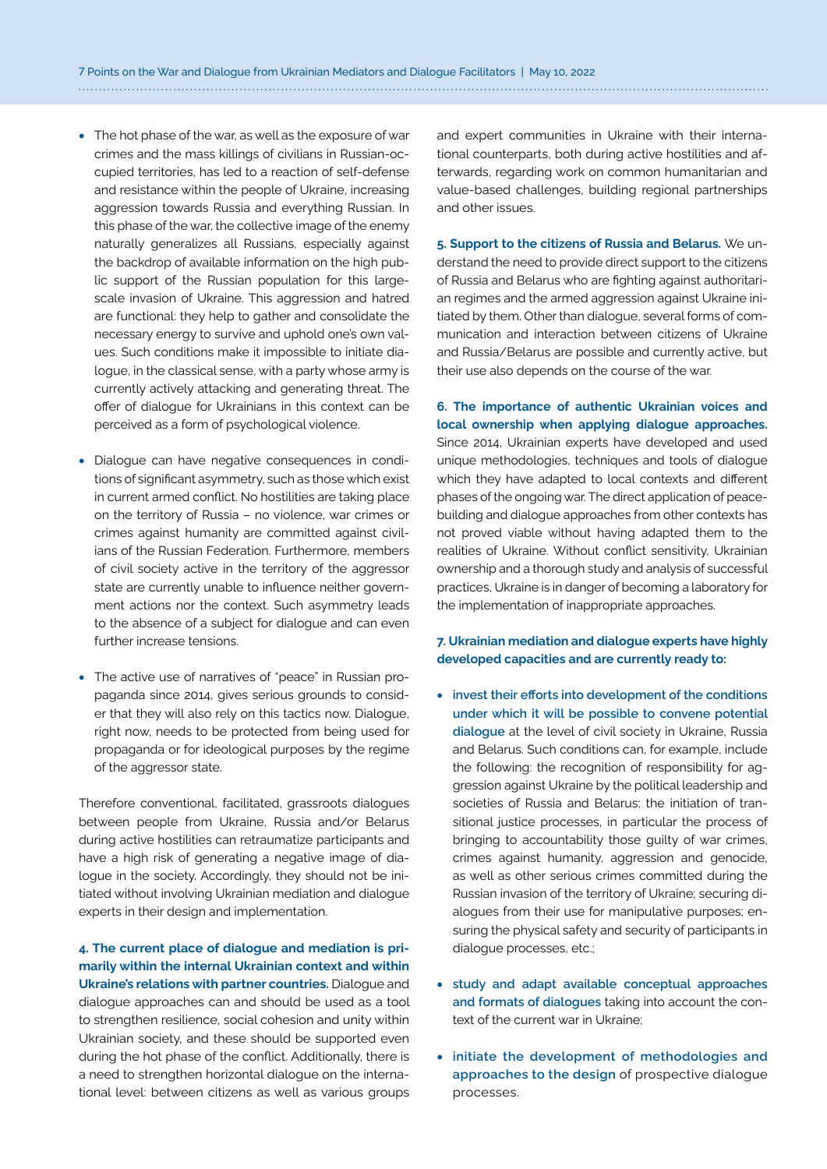- The hot phase of the war, as well as the exposure of war crimes and the mass killings of civilians in Russian-occupied territories, has led to a reaction of self-defense and resistance within the people of Ukraine, increasing aggression towards Russia and everything Russian. In this phase of the war, the collective image of the enemy naturally generalizes all Russians, especially against the backdrop of available information on the high public support of the Russian population for this largescale invasion of Ukraine. This aggression and hatred are functional: they help to gather and consolidate the necessary energy to survive and uphold one's own values. Such conditions make it impossible to initiate dialogue, in the classical sense, with a party whose army is currently actively attacking and generating threat. The offer of dialogue for Ukrainians in this context can be perceived as a form of psychological violence.
- Dialogue can have negative consequences in conditions of significant asymmetry, such as those which exist in current armed conflict. No hostilities are taking place on the territory of Russia – no violence, war crimes or crimes against humanity are committed against civilians of the Russian Federation. Furthermore, members of civil society active in the territory of the aggressor state are currently unable to influence neither government actions nor the context. Such asymmetry leads to the absence of a subject for dialogue and can even further increase tensions.
- The active use of narratives of "peace" in Russian propaganda since 2014, gives serious grounds to consider that they will also rely on this tactics now. Dialogue, right now, needs to be protected from being used for propaganda or for ideological purposes by the regime of the aggressor state.

Therefore conventional, facilitated, grassroots dialogues between people from Ukraine, Russia and/or Belarus during active hostilities can retraumatize participants and have a high risk of generating a negative image of dialogue in the society. Accordingly, they should not be initiated without involving Ukrainian mediation and dialogue experts in their design and implementation.

**4. The current place of dialogue and mediation is primarily within the internal Ukrainian context and within Ukraine's relations with partner countries.** Dialogue and dialogue approaches can and should be used as a tool to strengthen resilience, social cohesion and unity within Ukrainian society, and these should be supported even during the hot phase of the conflict. Additionally, there is a need to strengthen horizontal dialogue on the international level: between citizens as well as various groups

and expert communities in Ukraine with their international counterparts, both during active hostilities and afterwards, regarding work on common humanitarian and value-based challenges, building regional partnerships and other issues.

**5. Support to the citizens of Russia and Belarus.** We understand the need to provide direct support to the citizens of Russia and Belarus who are fighting against authoritarian regimes and the armed aggression against Ukraine initiated by them. Other than dialogue, several forms of communication and interaction between citizens of Ukraine and Russia/Belarus are possible and currently active, but their use also depends on the course of the war.

**6. The importance of authentic Ukrainian voices and local ownership when applying dialogue approaches.**

Since 2014, Ukrainian experts have developed and used unique methodologies, techniques and tools of dialogue which they have adapted to local contexts and different phases of the ongoing war. The direct application of peacebuilding and dialogue approaches from other contexts has not proved viable without having adapted them to the realities of Ukraine. Without conflict sensitivity, Ukrainian ownership and a thorough study and analysis of successful practices, Ukraine is in danger of becoming a laboratory for the implementation of inappropriate approaches.

## **7. Ukrainian mediation and dialogue experts have highly developed capacities and are currently ready to:**

- **invest their efforts into development of the conditions under which it will be possible to convene potential dialogue** at the level of civil society in Ukraine, Russia and Belarus. Such conditions can, for example, include the following: the recognition of responsibility for aggression against Ukraine by the political leadership and societies of Russia and Belarus; the initiation of transitional justice processes, in particular the process of bringing to accountability those guilty of war crimes, crimes against humanity, aggression and genocide, as well as other serious crimes committed during the Russian invasion of the territory of Ukraine; securing dialogues from their use for manipulative purposes; ensuring the physical safety and security of participants in dialogue processes, etc.;
- **study and adapt available conceptual approaches and formats of dialogues** taking into account the context of the current war in Ukraine;
- **initiate the development of methodologies and approaches to the design** of prospective dialogue processes.